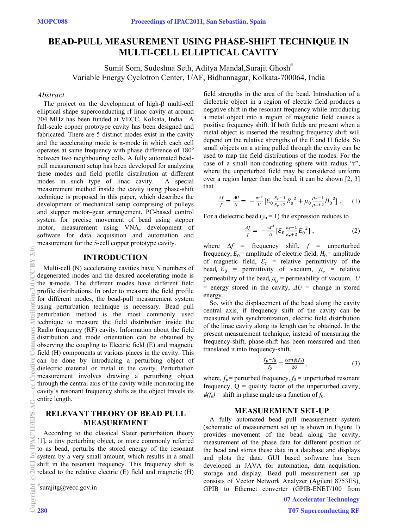## **BEAD-PULL MEASUREMENT USING PHASE-SHIFT TECHNIQUE IN MULTI-CELL ELLIPTICAL CAVITY**

Sumit Som, Sudeshna Seth, Aditya Mandal, Surajit Ghosh<sup>#</sup> Variable Energy Cyclotron Center, 1/AF, Bidhannagar, Kolkata-700064, India

#### *Abstract*

The project on the development of high- $\beta$  multi-cell elliptical shape superconducting rf linac cavity at around 704 MHz has been funded at VECC, Kolkata, India. A full-scale copper prototype cavity has been designed and fabricated. There are 5 distinct modes exist in the cavity and the accelerating mode is  $\pi$ -mode in which each cell operates at same frequency with phase difference of 180° between two neighbouring cells. A fully automated beadpull measurement setup has been developed for analyzing these modes and field profile distribution at different modes in such type of linac cavity. A special measurement method inside the cavity using phase-shift technique is proposed in this paper, which describes the development of mechanical setup comprising of pulleys and stepper motor–gear arrangement, PC-based control system for precise movement of bead using stepper motor, measurement using VNA, development of software for data acquisition and automation and measurement for the 5-cell copper prototype cavity.

## **INTRODUCTION**

Multi-cell (N) accelerating cavities have N numbers of degenerated modes and the desired accelerating mode is the  $\pi$ -mode. The different modes have different field profile distributions. In order to measure the field profile for different modes, the bead-pull measurement system using perturbation technique is necessary. Bead pull perturbation method is the most commonly used technique to measure the field distribution inside the Radio frequency (RF) cavity. Information about the field distribution and mode orientation can be obtained by observing the coupling to Electric field (E) and magnetic field (H) components at various places in the cavity. This can be done by introducing a perturbing object of dielectric material or metal in the cavity. Perturbation measurement involves drawing a perturbing object through the central axis of the cavity while monitoring the cavity's resonant frequency shifts as the object travels its entire length. (0;6^2n) b); O,0^2n101111/EPS-AG — commons Attribution 3.0 (C)<br>⊙ Commons Attribution 3.0 fi cc d i n ti c c e c c d i n ti c c e c c d i n ti c c e c c c c c c c c c c c c c

## **RELEVANT THEORY OF BEAD PULL MEASUREMENT**

According to the classical Slater perturbation theory [1], a tiny perturbing object, or more commonly referred to as bead, perturbs the stored energy of the resonant system by a very small amount, which results in a small shift in the resonant frequency. This frequency shift is related to the relative electric (E) field and magnetic (H)

 $\sqrt[#]{\text{surajitg}(a\text{vec}.g\text{over}.g\text{over.}}$ 

c○

흐

**UNPS-AG** 

 $3.0$ 

**CCBY** 

ommons

field strengths in the area of the bead. Introduction of a dielectric object in a region of electric field produces a negative shift in the resonant frequency while introducing a metal object into a region of magnetic field causes a positive frequency shift. If both fields are present when a metal object is inserted the resulting frequency shift will depend on the relative strengths of the E and H fields. So small objects on a string pulled through the cavity can be used to map the field distributions of the modes. For the case of a small non-conducting sphere with radius "r", where the unperturbed field may be considered uniform over a region larger than the bead, it can be shown [2, 3] that

$$
\frac{\Delta f}{f} = \frac{\Delta U}{U} = -\frac{\pi r^3}{U} \left[ \mathcal{E}_0 \frac{\mathcal{E}_r - 1}{\mathcal{E}_r + 2} E_0^2 + \mu_0 \frac{\mu_r - 1}{\mu_r + 2} H_0^2 \right]. \tag{1}
$$

For a dielectric bead ( $\mu$ = 1) the expression reduces to

$$
\frac{\Delta f}{f} = -\frac{\pi r^3}{U} \left[ \mathcal{E}_0 \frac{\varepsilon_{r-1}}{\varepsilon_{r+2}} E_0^2 \right],
$$
 (2)

where  $\Delta f$  = frequency shift,  $f$  = unperturbed frequency,  $E_0$  = amplitude of electric field,  $H_0$  = amplitude of magnetic field,  $\varepsilon_r$  = relative permittivity of the bead,  $\bar{\mathcal{E}}_0$  = permittivity of vacuum,  $\mu_r$  = relative permeability of the bead,  $\mu_0$  = permeability of vacuum, *U* = energy stored in the cavity,  $\Delta U$  = change in stored energy.

So, with the displacement of the bead along the cavity central axis, if frequency shift of the cavity can be measured with synchronization, electric field distribution of the linac cavity along its length can be obtained. In the present measurement technique, instead of measuring the frequency-shift, phase-shift has been measured and then translated it into frequency-shift.

$$
\frac{f_p - f_0}{f_0} = \frac{\tan\phi(f_0)}{2Q},\qquad(3)
$$

where,  $f_p$  = perturbed frequency,  $f_0$  = unperturbed resonant frequency,  $Q =$  quality factor of the unperturbed cavity,  $\phi(f_0)$  = shift in phase angle as a function of  $f_0$ .

## **MEASUREMENT SET-UP**

A fully automated bead pull measurement system (schematic of measurement set up is shown in Figure 1) provides movement of the bead along the cavity, measurement of the phase data for different position of the bead and stores these data in a database and displays and plots the data. GUI based software has been developed in JAVA for automation, data acquisition, storage and display. Bead pull measurement set up consists of Vector Network Analyzer (Agilent 8753ES), GPIB to Ethernet converter (GPIB-ENET/100 from

07 Accelerator Technology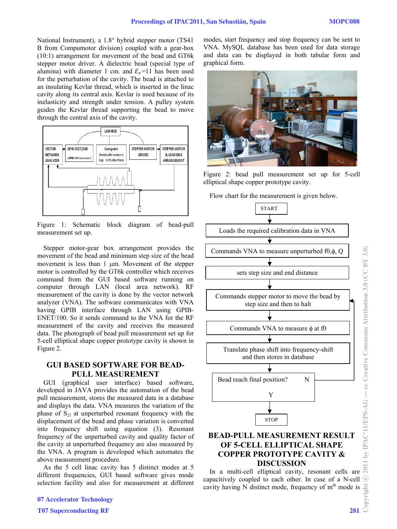National Instrument), a  $1.8^{\circ}$  hybrid stepper motor (TS41) B from Compumotor division) coupled with a gear-box (10:1) arrangement for movement of the bead and GT6k stepper motor driver. A dielectric bead (special type of alumina) with diameter 1 cm. and  $\mathcal{E}_r$ =11 has been used for the perturbation of the cavity. The bead is attached to an insulating Kevlar thread, which is inserted in the linac cavity along its central axis. Kevlar is used because of its inelasticity and strength under tension. A pulley system guides the Kevlar thread supporting the bead to move through the central axis of the cavity.



Figure 1: Schematic block diagram of bead-pull measurement set up.

Stepper motor-gear box arrangement provides the movement of the bead and minimum step size of the bead movement is less than  $1 \mu$ m. Movement of the stepper motor is controlled by the GT6k controller which receives command from the GUI based software running on computer through LAN (local area network). RF measurement of the cavity is done by the vector network analyzer (VNA). The software communicates with VNA having GPIB interface through LAN using GPIB-ENET/100. So it sends command to the VNA for the RF measurement of the cavity and receives the measured data. The photograph of bead pull measurement set up for 5-cell elliptical shape copper prototype cavity is shown in Figure 2.

## **GUI BASED SOFTWARE FOR BEAD-PULL MEASUREMENT**

GUI (graphical user interface) based software, developed in JAVA provides the automation of the bead pull measurement, stores the measured data in a database and displays the data. VNA measures the variation of the phase of  $S_{21}$  at unperturbed resonant frequency with the displacement of the bead and phase variation is converted into frequency shift using equation (3). Resonant frequency of the unperturbed cavity and quality factor of the cavity at unperturbed frequency are also measured by the VNA. A program is developed which automates the above measurement procedure.

As the 5 cell linac cavity has 5 distinct modes at 5 different frequencies, GUI based software gives mode selection facility and also for measurement at different modes, start frequency and stop frequency can be sent to VNA. MySQL database has been used for data storage and data can be displayed in both tabular form and graphical form.



Figure 2: bead pull measurement set up for 5-cell elliptical shape copper prototype cavity.

Flow chart for the measurement is given below.



# **OF 5-CELL ELLIPTICAL SHAPE COPPER PROTOTYPE CAVITY & DISCUSSION**

In a multi-cell elliptical cavity, resonant cells are capacitively coupled to each other. In case of a N-cell cavity having N distinct mode, frequency of  $m<sup>th</sup>$  mode is